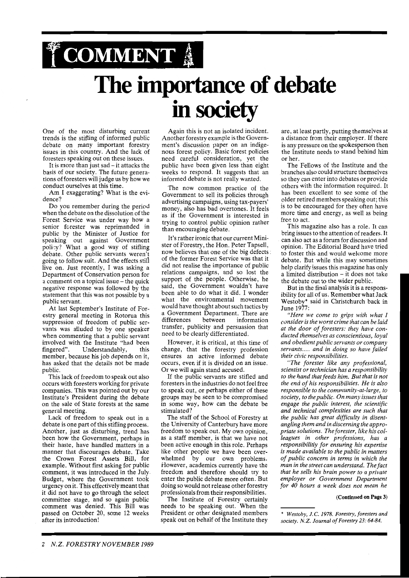# **TCOMMENT The importance of debate**  in society

One of the most disturbing current trends is the stifling of informed public debate on many important forestry issues in this country. And the lack of foresters speaking out on these issues.

It is more than just sad – it attacks the basis of our society. The future generations of foresters will judge us by how we conduct ourselves at this time.

Am I exaggerating? What is the evidence?

Do you remember during the period when the debate on the dissolution of the Forest Service was under way how a senior forester was reprimanded in public by the Minister of Justice for speaking out against Government policy? What a good way of stifling debate. Other public servants weren'f going to follow suit. And the effects still live on. Just recently, I was asking a Department of Conservation person for a comment on a topical issue - the quick negative response was followed by the statement that this was not possible by a public servant.

At last September's Institute of Forestry general meeting in Rotorua this suppression of freedom of public servants was alluded to by one speaker when commenting that a public servant involved with the Institute "had been fingered". Understandably, this member, because his job depends on it, has asked that the details not be made public.

This lack of freedom to speak out also occurs with foresters working for private companies. This was pointed out by our Institute's President during the debate on the sale of State forests at the same general meeting.

Lack of freedom to speak out in a debate is one part of this stifling process. Another, just as disturbing, trend has been how the Government, perhaps in their haste, have handled matters in a manner that discourages debate. Take the Crown Forest Assets Bill, for example. Without first asking for public comment, it was introduced in the July Budget, where the Government took urgency on it. This effectively meant that it did not have to go through the select committee stage, and so again public comment was denied. This Bill was passed on October 20, some 12 weeks after its introduction!

Again this is not an isolated incident. Another forestry example is the Government's discussion paper on an indigenous forest policy. Basic forest policies need careful consideration, yet the public have been given less than eight weeks to respond. It suggests that an informed debate is not really wanted.

The now common practice of the Government to sell its policies through advertising campaigns, using tax-payers' money, also has bad overtones. It feels as if the Government is interested in trying to control public opinion rather than encouraging debate.

It's rather ironic that our current Minister of Forestry, the Hon. Peter Tapsell, now believes that one of the big defects of the former Forest Service was that it did not realise the importance of public relations campaigns, and so lost the support of the people. Otherwise, he said, the Government wouldn't have been able to do what it did. I wonder what the environmental movement would have thought about such tactics by a Government Department. There are differences between information transfer, publicity and persuasion that need to be clearly differentiated.

However, it is critical, at this time of change, that the forestry profession ensures an active informed debate occurs, even if it is divided on an issue. Or we will again stand accused.

If the public servants are stifled and foresters in the industries do not feel free to speak out, or perhaps either of these groups may be seen to be compromised in some way, how can the debate be stimulated?

The staff of the School of Forestry at the University of Canterbury have more freedom to speak out. My own opinion, as a staff member, is that we have not been active enough in this role. Perhaps like other people we have been overwhelmed by our own problems. However, academics currently have the freedom and therefore should try to enter the public debate more often. But doing so would not release other forestry professionals from their responsibilities.

The Institute of Forestry certainly needs to be speaking out. When the President or other designated members speak out on behalf of the Institute they

are, at least partly, putting themselves at a distance from their employer. If there is any pressure on the spokesperson then the Institute needs to stand behind him or her.

The Fellows of the Institute and the branches also could structure themselves so they can enter into debates or provide others with the information required. It has been excellent to see some of the older retired members speaking out; this is to be encouraged for they often have more time and energy, as well as being free to act.

This magazine also has a role. It can bring issues to the attention of readers. It can also act as a forum for discussion and opinion. The Editorial Board have tried to foster this and would welcome more debate. But while this may sometimes help clarify issues this magazine has only a limited distribution - it does not take the debate out to the wider public.

But in the final analysis it is a responsibility for all of us. Remember what Jack Westoby\* said in Christchurch back in June 1977:

*"Here we come to grips with what I consider is the worst crime that can be laid at the door of foresters: they have conducted themselves as conscientious, loyal and obedient public servants or company servants..* . . *and in doing so have failed their civic responsibilities.* 

*"The forester like any professional, scientist or technician has a responsibility to the hand that feeds him. But that is not the end of his responsibilities. He is also responsible to the community -at-large, to society, to thepublic. On many issues that engage the public interest, the scientific and technical complexities are such that the public has great difficulty in disentangling them and in discerning the appropriate solutions. The forester, like his colleagues in other professions, has a responsibilitiy for ensuring his expertise is made available to the public in matters of public concern in terms in which the man in the street can understand. The fact that he sells his brain power to a private employer or Government Department for 40 hours a week does not mean he* 

#### **(Continued on Page 3)**

<sup>\*</sup> *Westoby, J.C.* 1978. *Forestry, foresters and society. N. Z. Journal of Forestry* 23: 64-84.